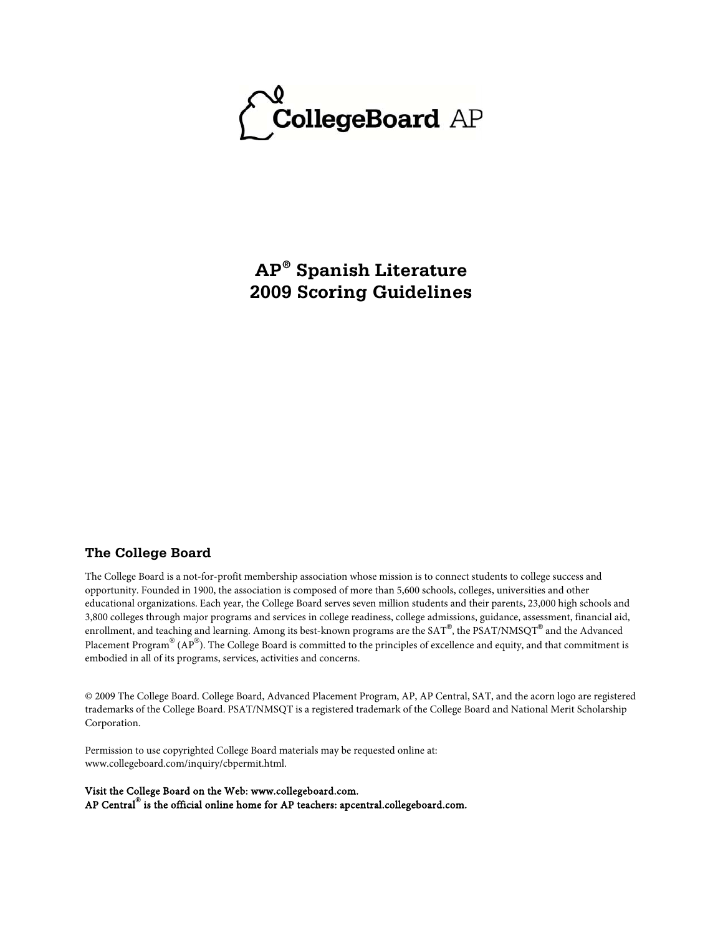

**AP® Spanish Literature 2009 Scoring Guidelines**

# **The College Board**

The College Board is a not-for-profit membership association whose mission is to connect students to college success and opportunity. Founded in 1900, the association is composed of more than 5,600 schools, colleges, universities and other educational organizations. Each year, the College Board serves seven million students and their parents, 23,000 high schools and 3,800 colleges through major programs and services in college readiness, college admissions, guidance, assessment, financial aid, enrollment, and teaching and learning. Among its best-known programs are the SAT®, the PSAT/NMSQT® and the Advanced Placement Program® (AP®). The College Board is committed to the principles of excellence and equity, and that commitment is embodied in all of its programs, services, activities and concerns.

© 2009 The College Board. College Board, Advanced Placement Program, AP, AP Central, SAT, and the acorn logo are registered trademarks of the College Board. PSAT/NMSQT is a registered trademark of the College Board and National Merit Scholarship Corporation.

Permission to use copyrighted College Board materials may be requested online at: www.collegeboard.com/inquiry/cbpermit.html.

Visit the College Board on the Web: www.collegeboard.com. AP Central**®** is the official online home for AP teachers: apcentral.collegeboard.com.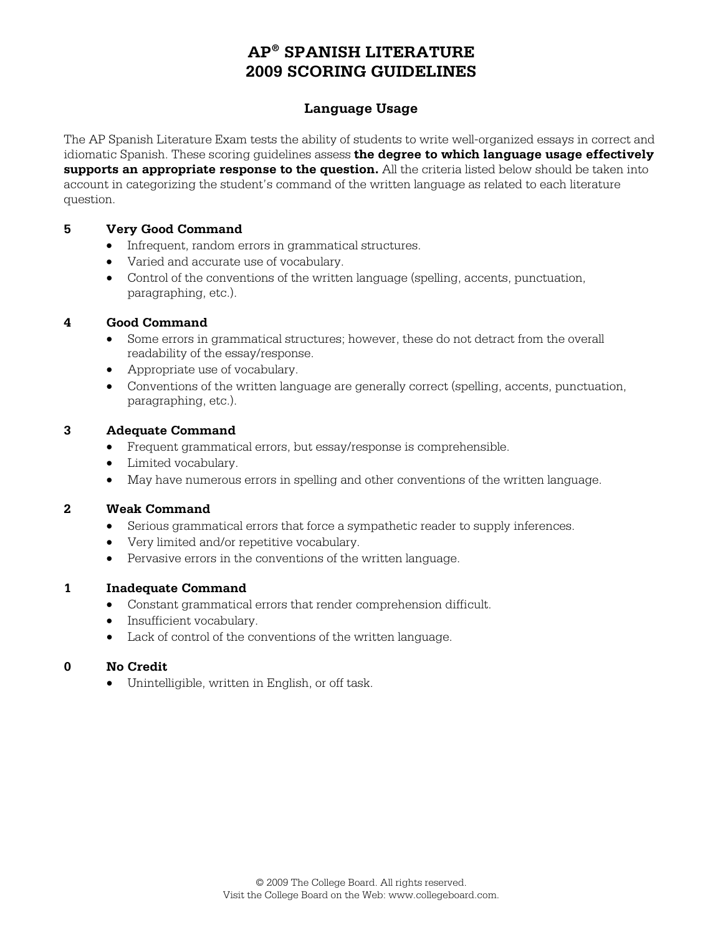# **Language Usage**

The AP Spanish Literature Exam tests the ability of students to write well-organized essays in correct and idiomatic Spanish. These scoring guidelines assess **the degree to which language usage effectively supports an appropriate response to the question.** All the criteria listed below should be taken into account in categorizing the student's command of the written language as related to each literature question.

### **5 Very Good Command**

- Infrequent, random errors in grammatical structures.
- Varied and accurate use of vocabulary.
- Control of the conventions of the written language (spelling, accents, punctuation, paragraphing, etc.).

# **4 Good Command**

- Some errors in grammatical structures; however, these do not detract from the overall readability of the essay/response.
- Appropriate use of vocabulary.
- Conventions of the written language are generally correct (spelling, accents, punctuation, paragraphing, etc.).

### **3 Adequate Command**

- Frequent grammatical errors, but essay/response is comprehensible.
- Limited vocabulary.
- May have numerous errors in spelling and other conventions of the written language.

#### **2 Weak Command**

- Serious grammatical errors that force a sympathetic reader to supply inferences.
- Very limited and/or repetitive vocabulary.
- Pervasive errors in the conventions of the written language.

# **1 Inadequate Command**

- Constant grammatical errors that render comprehension difficult.
- Insufficient vocabulary.
- Lack of control of the conventions of the written language.

#### **0 No Credit**

• Unintelligible, written in English, or off task.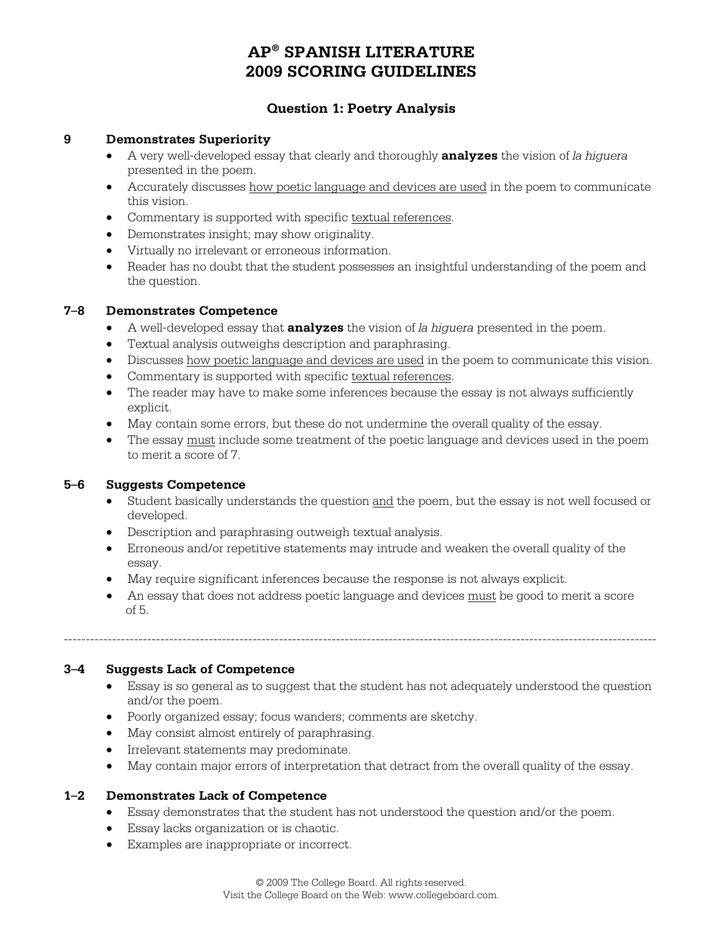# **Question 1: Poetry Analysis**

### **9 Demonstrates Superiority**

- A very well-developed essay that clearly and thoroughly **analyzes** the vision of *la higuera*  presented in the poem.
- Accurately discusses how poetic language and devices are used in the poem to communicate this vision.
- Commentary is supported with specific textual references.
- Demonstrates insight; may show originality.
- Virtually no irrelevant or erroneous information.
- Reader has no doubt that the student possesses an insightful understanding of the poem and the question.

### **7–8 Demonstrates Competence**

- A well-developed essay that **analyzes** the vision of *la higuera* presented in the poem.
- Textual analysis outweighs description and paraphrasing.
- Discusses how poetic language and devices are used in the poem to communicate this vision.
- Commentary is supported with specific textual references.
- The reader may have to make some inferences because the essay is not always sufficiently explicit.
- May contain some errors, but these do not undermine the overall quality of the essay.
- The essay must include some treatment of the poetic language and devices used in the poem to merit a score of 7.

# **5–6 Suggests Competence**

- Student basically understands the question and the poem, but the essay is not well focused or developed.
- Description and paraphrasing outweigh textual analysis.
- Erroneous and/or repetitive statements may intrude and weaken the overall quality of the essay.
- May require significant inferences because the response is not always explicit.
- An essay that does not address poetic language and devices must be good to merit a score of 5.

---------------------------------------------------------------------------------------------------------------------------------------

# **3–4 Suggests Lack of Competence**

- Essay is so general as to suggest that the student has not adequately understood the question and/or the poem.
- Poorly organized essay; focus wanders; comments are sketchy.
- May consist almost entirely of paraphrasing.
- Irrelevant statements may predominate.
- May contain major errors of interpretation that detract from the overall quality of the essay.

# **1–2 Demonstrates Lack of Competence**

- Essay demonstrates that the student has not understood the question and/or the poem.
- Essay lacks organization or is chaotic.
- Examples are inappropriate or incorrect.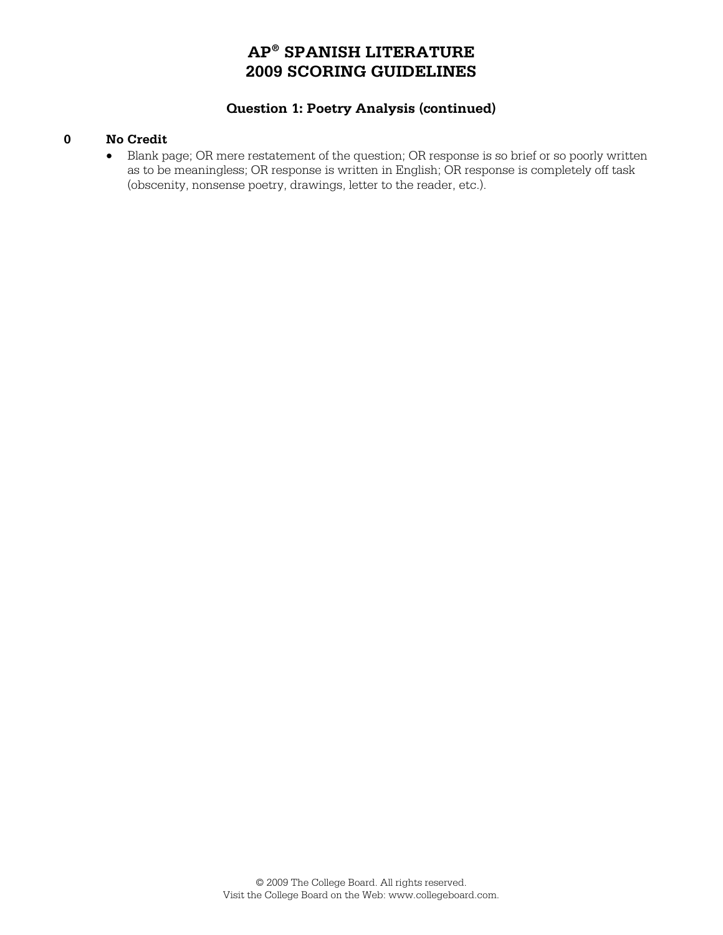# **Question 1: Poetry Analysis (continued)**

#### **0 No Credit**

• Blank page; OR mere restatement of the question; OR response is so brief or so poorly written as to be meaningless; OR response is written in English; OR response is completely off task (obscenity, nonsense poetry, drawings, letter to the reader, etc.).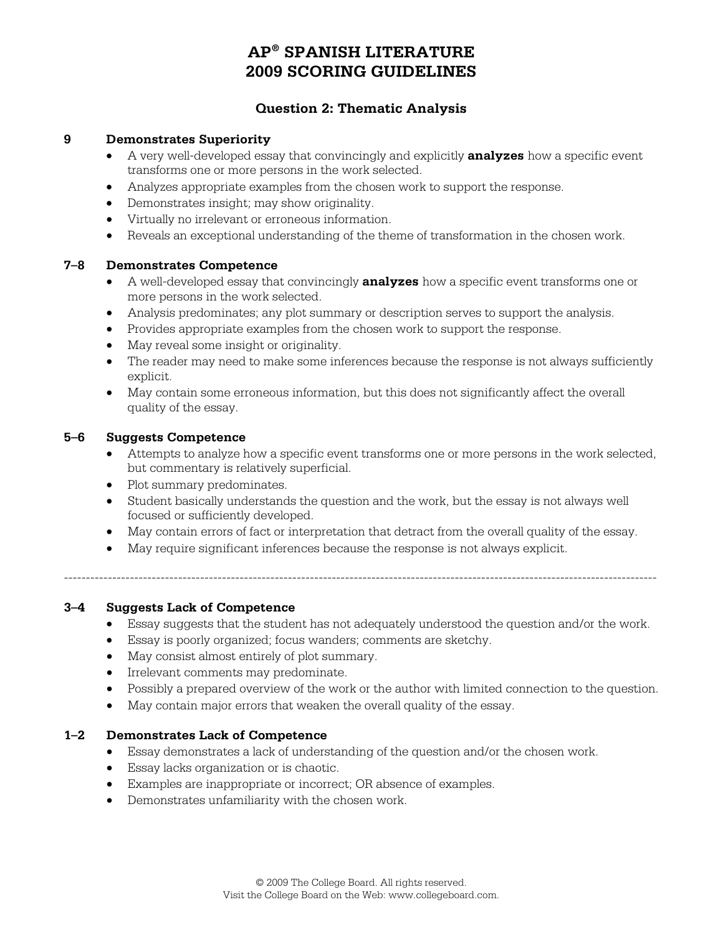# **Question 2: Thematic Analysis**

#### **9 Demonstrates Superiority**

- A very well-developed essay that convincingly and explicitly **analyzes** how a specific event transforms one or more persons in the work selected.
- Analyzes appropriate examples from the chosen work to support the response.
- Demonstrates insight; may show originality.
- Virtually no irrelevant or erroneous information.
- Reveals an exceptional understanding of the theme of transformation in the chosen work.

#### **7–8 Demonstrates Competence**

- A well-developed essay that convincingly **analyzes** how a specific event transforms one or more persons in the work selected.
- Analysis predominates; any plot summary or description serves to support the analysis.
- Provides appropriate examples from the chosen work to support the response.
- May reveal some insight or originality.
- The reader may need to make some inferences because the response is not always sufficiently explicit.
- May contain some erroneous information, but this does not significantly affect the overall quality of the essay.

#### **5–6 Suggests Competence**

- Attempts to analyze how a specific event transforms one or more persons in the work selected, but commentary is relatively superficial.
- Plot summary predominates.
- Student basically understands the question and the work, but the essay is not always well focused or sufficiently developed.
- May contain errors of fact or interpretation that detract from the overall quality of the essay.

---------------------------------------------------------------------------------------------------------------------------------------

• May require significant inferences because the response is not always explicit.

# **3–4 Suggests Lack of Competence**

- Essay suggests that the student has not adequately understood the question and/or the work.
- Essay is poorly organized; focus wanders; comments are sketchy.
- May consist almost entirely of plot summary.
- Irrelevant comments may predominate.
- Possibly a prepared overview of the work or the author with limited connection to the question.
- May contain major errors that weaken the overall quality of the essay.

#### **1–2 Demonstrates Lack of Competence**

- Essay demonstrates a lack of understanding of the question and/or the chosen work.
- Essay lacks organization or is chaotic.
- Examples are inappropriate or incorrect; OR absence of examples.
- Demonstrates unfamiliarity with the chosen work.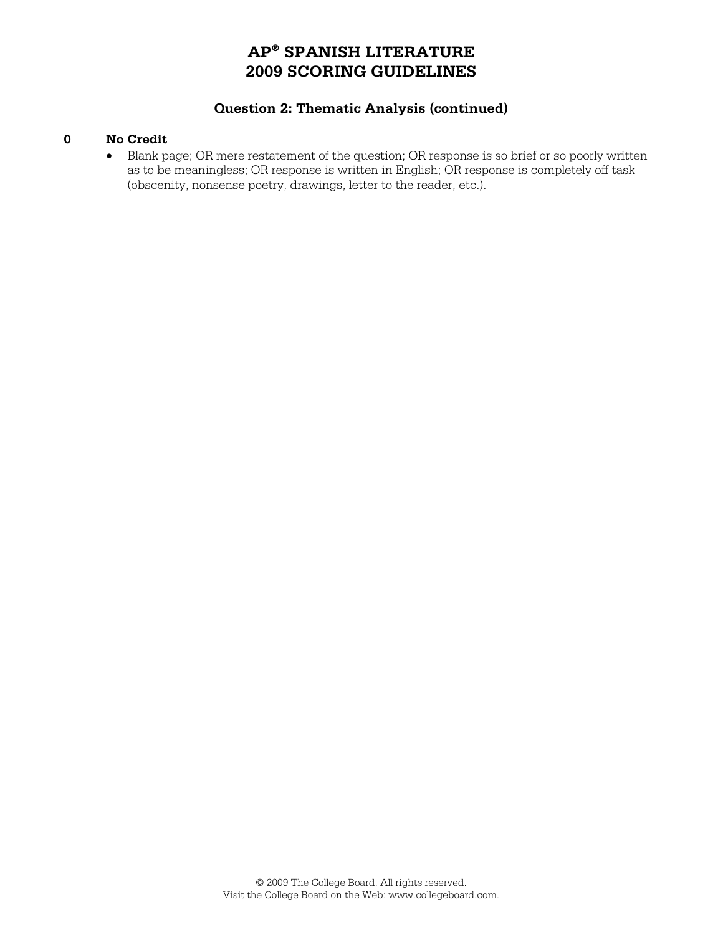# **Question 2: Thematic Analysis (continued)**

### **0 No Credit**

• Blank page; OR mere restatement of the question; OR response is so brief or so poorly written as to be meaningless; OR response is written in English; OR response is completely off task (obscenity, nonsense poetry, drawings, letter to the reader, etc.).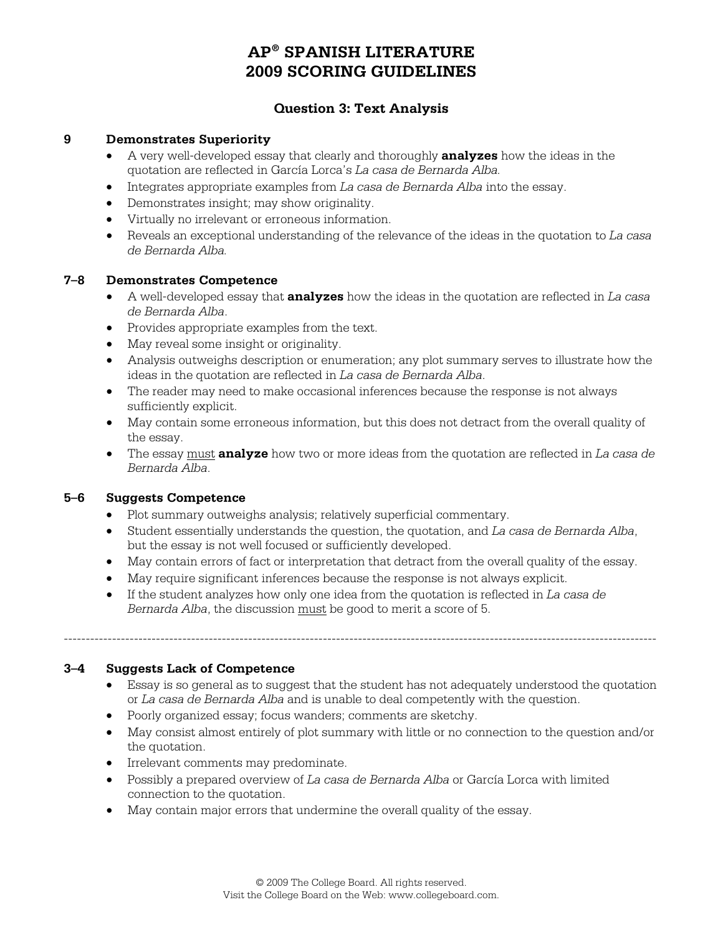# **Question 3: Text Analysis**

#### **9 Demonstrates Superiority**

- A very well-developed essay that clearly and thoroughly **analyzes** how the ideas in the quotation are reflected in García Lorca's *La casa de Bernarda Alba.*
- Integrates appropriate examples from *La casa de Bernarda Alba* into the essay.
- Demonstrates insight; may show originality.
- Virtually no irrelevant or erroneous information.
- Reveals an exceptional understanding of the relevance of the ideas in the quotation to *La casa de Bernarda Alba.*

### **7–8 Demonstrates Competence**

- A well-developed essay that **analyzes** how the ideas in the quotation are reflected in *La casa de Bernarda Alba*.
- Provides appropriate examples from the text.
- May reveal some insight or originality.
- Analysis outweighs description or enumeration; any plot summary serves to illustrate how the ideas in the quotation are reflected in *La casa de Bernarda Alba*.
- The reader may need to make occasional inferences because the response is not always sufficiently explicit.
- May contain some erroneous information, but this does not detract from the overall quality of the essay.
- The essay must **analyze** how two or more ideas from the quotation are reflected in *La casa de Bernarda Alba*.

# **5–6 Suggests Competence**

- Plot summary outweighs analysis; relatively superficial commentary.
- Student essentially understands the question, the quotation, and *La casa de Bernarda Alba*, but the essay is not well focused or sufficiently developed.
- May contain errors of fact or interpretation that detract from the overall quality of the essay.
- May require significant inferences because the response is not always explicit.
- If the student analyzes how only one idea from the quotation is reflected in *La casa de Bernarda Alba*, the discussion must be good to merit a score of 5.

---------------------------------------------------------------------------------------------------------------------------------------

# **3–4 Suggests Lack of Competence**

- Essay is so general as to suggest that the student has not adequately understood the quotation or *La casa de Bernarda Alba* and is unable to deal competently with the question.
- Poorly organized essay; focus wanders; comments are sketchy.
- May consist almost entirely of plot summary with little or no connection to the question and/or the quotation.
- Irrelevant comments may predominate.
- Possibly a prepared overview of *La casa de Bernarda Alba* or García Lorca with limited connection to the quotation.
- May contain major errors that undermine the overall quality of the essay.